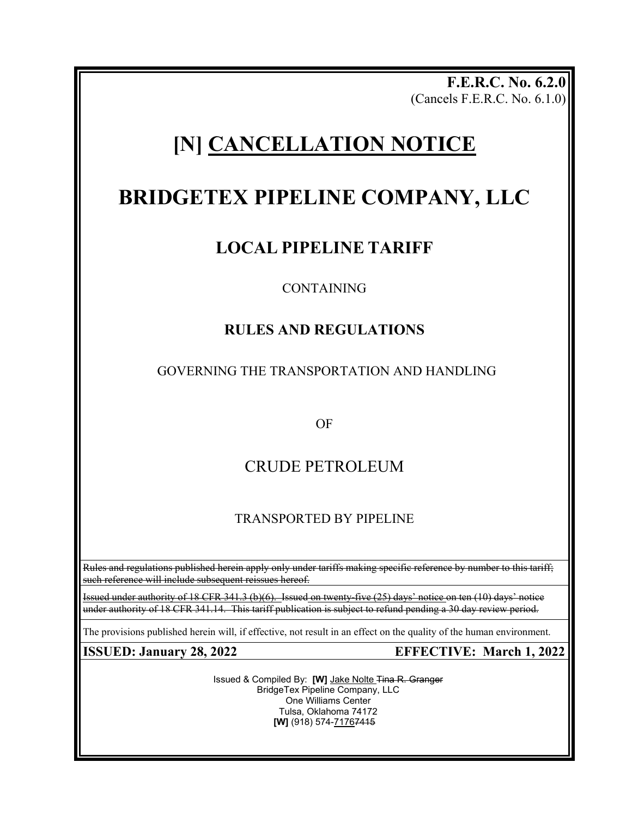**F.E.R.C. No. 6.2.0** (Cancels F.E.R.C. No. 6.1.0)

# **[N] CANCELLATION NOTICE**

# **BRIDGETEX PIPELINE COMPANY, LLC**

## **LOCAL PIPELINE TARIFF**

### CONTAINING

### **RULES AND REGULATIONS**

### GOVERNING THE TRANSPORTATION AND HANDLING

OF

## CRUDE PETROLEUM

### TRANSPORTED BY PIPELINE

Rules and regulations published herein apply only under tariffs making specific reference by number to this tariff; such reference will include subsequent reissues hereof.

Issued under authority of 18 CFR 341.3 (b)(6). Issued on twenty-five (25) days' notice on ten (10) days' notice under authority of 18 CFR 341.14. This tariff publication is subject to refund pending a 30 day review period.

The provisions published herein will, if effective, not result in an effect on the quality of the human environment.

Issued & Compiled By: **[W]** Jake Nolte Tina R. Granger BridgeTex Pipeline Company, LLC One Williams Center Tulsa, Oklahoma 74172 **[W]** (918) 574-71767415

**ISSUED: January 28, 2022 EFFECTIVE: March 1, 2022**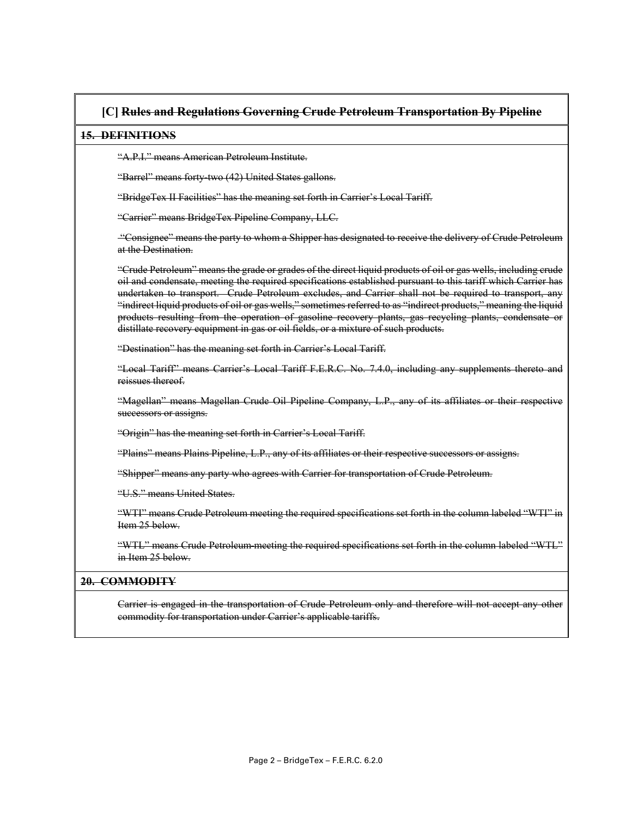### **[C] Rules and Regulations Governing Crude Petroleum Transportation By Pipeline**

#### **15. DEFINITIONS**

"A.P.I." means American Petroleum Institute.

"Barrel" means forty-two (42) United States gallons.

"BridgeTex II Facilities" has the meaning set forth in Carrier's Local Tariff.

"Carrier" means BridgeTex Pipeline Company, LLC.

"Consignee" means the party to whom a Shipper has designated to receive the delivery of Crude Petroleum at the Destination.

"Crude Petroleum" means the grade or grades of the direct liquid products of oil or gas wells, including crude oil and condensate, meeting the required specifications established pursuant to this tariff which Carrier has undertaken to transport. Crude Petroleum excludes, and Carrier shall not be required to transport, any "indirect liquid products of oil or gas wells," sometimes referred to as "indirect products," meaning the liquid products resulting from the operation of gasoline recovery plants, gas recycling plants, condensate or distillate recovery equipment in gas or oil fields, or a mixture of such products.

"Destination" has the meaning set forth in Carrier's Local Tariff.

"Local Tariff" means Carrier's Local Tariff F.E.R.C. No. 7.4.0, including any supplements thereto and reissues thereof.

"Magellan" means Magellan Crude Oil Pipeline Company, L.P., any of its affiliates or their respective successors or assigns.

"Origin" has the meaning set forth in Carrier's Local Tariff.

"Plains" means Plains Pipeline, L.P., any of its affiliates or their respective successors or assigns.

"Shipper" means any party who agrees with Carrier for transportation of Crude Petroleum.

"U.S." means United States.

"WTI" means Crude Petroleum meeting the required specifications set forth in the column labeled "WTI" in Item 25 below.

"WTL" means Crude Petroleum meeting the required specifications set forth in the column labeled "WTL" in Item 25 below.

### **20. COMMODITY**

Carrier is engaged in the transportation of Crude Petroleum only and therefore will not accept any other commodity for transportation under Carrier's applicable tariffs.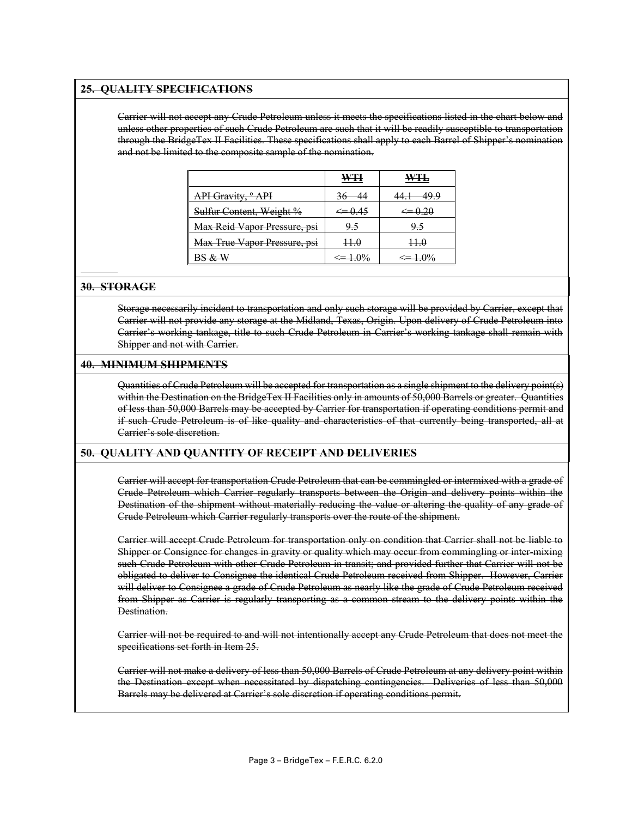#### **25. QUALITY SPECIFICATIONS**

Carrier will not accept any Crude Petroleum unless it meets the specifications listed in the chart below and unless other properties of such Crude Petroleum are such that it will be readily susceptible to transportation through the BridgeTex II Facilities. These specifications shall apply to each Barrel of Shipper's nomination and not be limited to the composite sample of the nomination.

|                               | WŦ         |            |
|-------------------------------|------------|------------|
| API Gravity, <sup>o</sup> API | $-36 - 44$ | 49.9       |
| Sulfur Content, Weight %      |            |            |
| Max Reid Vapor Pressure, psi  | 9.5        | <u>9.5</u> |
| Max True Vapor Pressure, psi  | $+ + 0$    | $++0$      |
|                               |            |            |

#### **30. STORAGE**

Storage necessarily incident to transportation and only such storage will be provided by Carrier, except that Carrier will not provide any storage at the Midland, Texas, Origin. Upon delivery of Crude Petroleum into Carrier's working tankage, title to such Crude Petroleum in Carrier's working tankage shall remain with Shipper and not with Carrier.

#### **40. MINIMUM SHIPMENTS**

Quantities of Crude Petroleum will be accepted for transportation as a single shipment to the delivery point(s) within the Destination on the BridgeTex II Facilities only in amounts of 50,000 Barrels or greater. Quantities of less than 50,000 Barrels may be accepted by Carrier for transportation if operating conditions permit and if such Crude Petroleum is of like quality and characteristics of that currently being transported, all at Carrier's sole discretion.

#### **50. QUALITY AND QUANTITY OF RECEIPT AND DELIVERIES**

Carrier will accept for transportation Crude Petroleum that can be commingled or intermixed with a grade of Crude Petroleum which Carrier regularly transports between the Origin and delivery points within the Destination of the shipment without materially reducing the value or altering the quality of any grade of Crude Petroleum which Carrier regularly transports over the route of the shipment.

Carrier will accept Crude Petroleum for transportation only on condition that Carrier shall not be liable to Shipper or Consignee for changes in gravity or quality which may occur from commingling or inter-mixing such Crude Petroleum with other Crude Petroleum in transit; and provided further that Carrier will not be obligated to deliver to Consignee the identical Crude Petroleum received from Shipper. However, Carrier will deliver to Consignee a grade of Crude Petroleum as nearly like the grade of Crude Petroleum received from Shipper as Carrier is regularly transporting as a common stream to the delivery points within the Destination.

Carrier will not be required to and will not intentionally accept any Crude Petroleum that does not meet the specifications set forth in Item 25.

Carrier will not make a delivery of less than 50,000 Barrels of Crude Petroleum at any delivery point within the Destination except when necessitated by dispatching contingencies. Deliveries of less than 50,000 Barrels may be delivered at Carrier's sole discretion if operating conditions permit.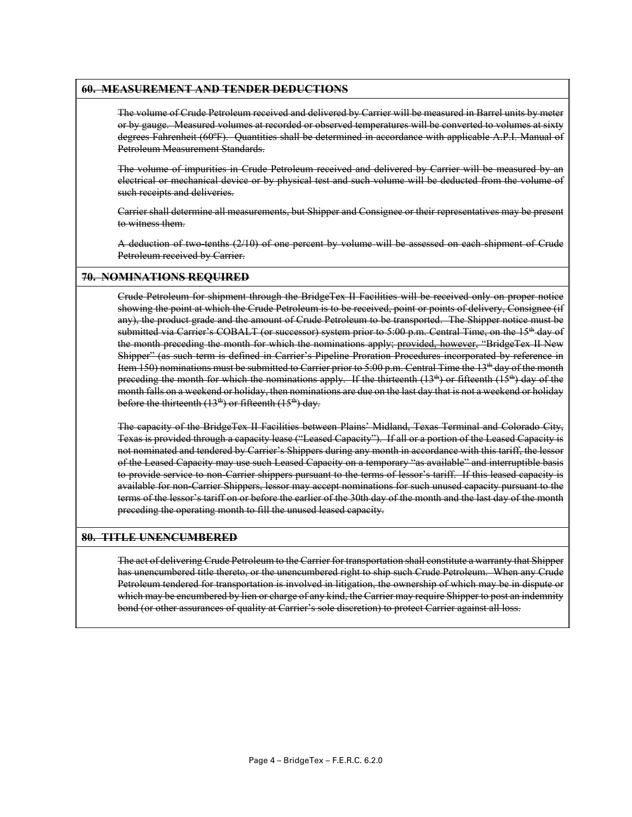#### **60. MEASUREMENT AND TENDER DEDUCTIONS**

The volume of Crude Petroleum received and delivered by Carrier will be measured in Barrel units by meter or by gauge. Measured volumes at recorded or observed temperatures will be converted to volumes at sixty degrees Fahrenheit (60ºF). Quantities shall be determined in accordance with applicable A.P.I. Manual of Petroleum Measurement Standards.

The volume of impurities in Crude Petroleum received and delivered by Carrier will be measured by an electrical or mechanical device or by physical test and such volume will be deducted from the volume of such receipts and deliveries.

Carrier shall determine all measurements, but Shipper and Consignee or their representatives may be present to witness them.

A deduction of two-tenths (2/10) of one percent by volume will be assessed on each shipment of Crude Petroleum received by Carrier.

#### **70. NOMINATIONS REQUIRED**

Crude Petroleum for shipment through the BridgeTex II Facilities will be received only on proper notice showing the point at which the Crude Petroleum is to be received, point or points of delivery, Consignee (if any), the product grade and the amount of Crude Petroleum to be transported. The Shipper notice must be submitted via Carrier's COBALT (or successor) system prior to 5:00 p.m. Central Time, on the 15<sup>th</sup> day of the month preceding the month for which the nominations apply; provided, however, "BridgeTex II New Shipper" (as such term is defined in Carrier's Pipeline Proration Procedures incorporated by reference in Item 150) nominations must be submitted to Carrier prior to 5:00 p.m. Central Time the 13th day of the month preceding the month for which the nominations apply. If the thirteenth  $(13<sup>th</sup>)$  or fifteenth  $(15<sup>th</sup>)$  day of the month falls on a weekend or holiday, then nominations are due on the last day that is not a weekend or holiday before the thirteenth  $(13<sup>th</sup>)$  or fifteenth  $(15<sup>th</sup>)$  day.

The capacity of the BridgeTex II Facilities between Plains' Midland, Texas Terminal and Colorado City, Texas is provided through a capacity lease ("Leased Capacity"). If all or a portion of the Leased Capacity is not nominated and tendered by Carrier's Shippers during any month in accordance with this tariff, the lessor of the Leased Capacity may use such Leased Capacity on a temporary "as available" and interruptible basis to provide service to non-Carrier shippers pursuant to the terms of lessor's tariff. If this leased capacity is available for non-Carrier Shippers, lessor may accept nominations for such unused capacity pursuant to the terms of the lessor's tariff on or before the earlier of the 30th day of the month and the last day of the month preceding the operating month to fill the unused leased capacity.

#### **80. TITLE UNENCUMBERED**

The act of delivering Crude Petroleum to the Carrier for transportation shall constitute a warranty that Shipper has unencumbered title thereto, or the unencumbered right to ship such Crude Petroleum. When any Crude Petroleum tendered for transportation is involved in litigation, the ownership of which may be in dispute or which may be encumbered by lien or charge of any kind, the Carrier may require Shipper to post an indemnity bond (or other assurances of quality at Carrier's sole discretion) to protect Carrier against all loss.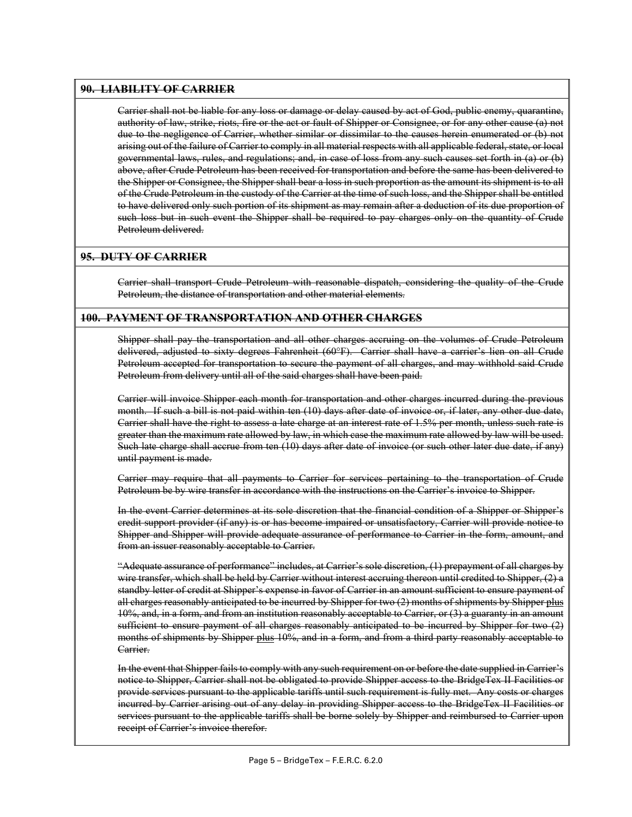#### **90. LIABILITY OF CARRIER**

Carrier shall not be liable for any loss or damage or delay caused by act of God, public enemy, quarantine, authority of law, strike, riots, fire or the act or fault of Shipper or Consignee, or for any other cause (a) not due to the negligence of Carrier, whether similar or dissimilar to the causes herein enumerated or (b) not arising out of the failure of Carrier to comply in all material respects with all applicable federal, state, or local governmental laws, rules, and regulations; and, in case of loss from any such causes set forth in (a) or (b) above, after Crude Petroleum has been received for transportation and before the same has been delivered to the Shipper or Consignee, the Shipper shall bear a loss in such proportion as the amount its shipment is to all of the Crude Petroleum in the custody of the Carrier at the time of such loss, and the Shipper shall be entitled to have delivered only such portion of its shipment as may remain after a deduction of its due proportion of such loss but in such event the Shipper shall be required to pay charges only on the quantity of Crude Petroleum delivered.

#### **95. DUTY OF CARRIER**

Carrier shall transport Crude Petroleum with reasonable dispatch, considering the quality of the Crude Petroleum, the distance of transportation and other material elements.

#### **100. PAYMENT OF TRANSPORTATION AND OTHER CHARGES**

Shipper shall pay the transportation and all other charges accruing on the volumes of Crude Petroleum delivered, adjusted to sixty degrees Fahrenheit (60°F). Carrier shall have a carrier's lien on all Crude Petroleum accepted for transportation to secure the payment of all charges, and may withhold said Crude Petroleum from delivery until all of the said charges shall have been paid.

Carrier will invoice Shipper each month for transportation and other charges incurred during the previous month. If such a bill is not paid within ten (10) days after date of invoice or, if later, any other due date, Carrier shall have the right to assess a late charge at an interest rate of 1.5% per month, unless such rate is greater than the maximum rate allowed by law, in which case the maximum rate allowed by law will be used. Such late charge shall accrue from ten (10) days after date of invoice (or such other later due date, if any) until payment is made.

Carrier may require that all payments to Carrier for services pertaining to the transportation of Crude Petroleum be by wire transfer in accordance with the instructions on the Carrier's invoice to Shipper.

In the event Carrier determines at its sole discretion that the financial condition of a Shipper or Shipper's credit support provider (if any) is or has become impaired or unsatisfactory, Carrier will provide notice to Shipper and Shipper will provide adequate assurance of performance to Carrier in the form, amount, and from an issuer reasonably acceptable to Carrier.

"Adequate assurance of performance" includes, at Carrier's sole discretion, (1) prepayment of all charges by wire transfer, which shall be held by Carrier without interest accruing thereon until credited to Shipper, (2) a standby letter of credit at Shipper's expense in favor of Carrier in an amount sufficient to ensure payment of all charges reasonably anticipated to be incurred by Shipper for two (2) months of shipments by Shipper plus 10%, and, in a form, and from an institution reasonably acceptable to Carrier, or (3) a guaranty in an amount sufficient to ensure payment of all charges reasonably anticipated to be incurred by Shipper for two (2) months of shipments by Shipper plus 10%, and in a form, and from a third party reasonably acceptable to Carrier.

In the event that Shipper fails to comply with any such requirement on or before the date supplied in Carrier's notice to Shipper, Carrier shall not be obligated to provide Shipper access to the BridgeTex II Facilities or provide services pursuant to the applicable tariffs until such requirement is fully met. Any costs or charges incurred by Carrier arising out of any delay in providing Shipper access to the BridgeTex II Facilities or services pursuant to the applicable tariffs shall be borne solely by Shipper and reimbursed to Carrier upon receipt of Carrier's invoice therefor.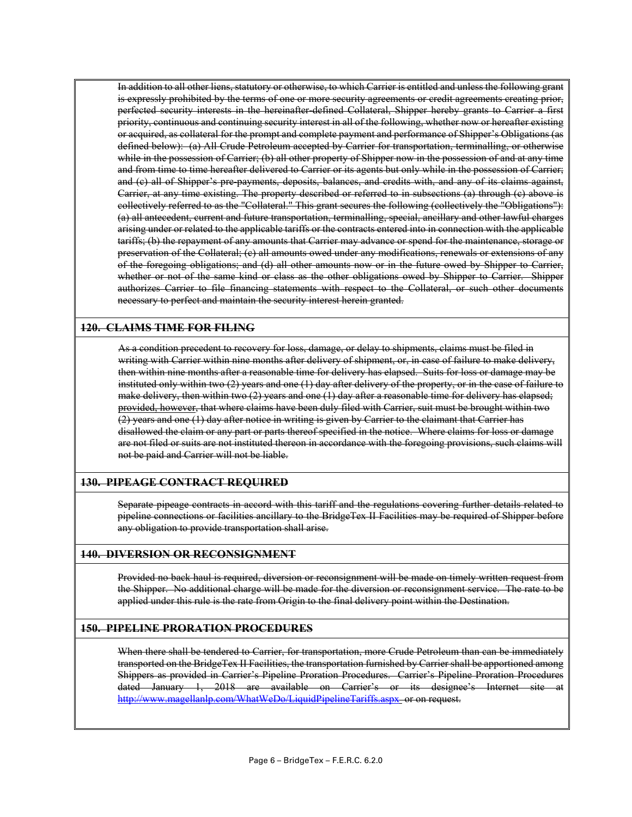In addition to all other liens, statutory or otherwise, to which Carrier is entitled and unless the following grant is expressly prohibited by the terms of one or more security agreements or credit agreements creating prior, perfected security interests in the hereinafter defined Collateral, Shipper hereby grants to Carrier a first priority, continuous and continuing security interest in all of the following, whether now or hereafter existing or acquired, as collateral for the prompt and complete payment and performance of Shipper's Obligations (as defined below): (a) All Crude Petroleum accepted by Carrier for transportation, terminalling, or otherwise while in the possession of Carrier; (b) all other property of Shipper now in the possession of and at any time and from time to time hereafter delivered to Carrier or its agents but only while in the possession of Carrier; and (c) all of Shipper's pre-payments, deposits, balances, and credits with, and any of its claims against, Carrier, at any time existing. The property described or referred to in subsections (a) through (c) above is collectively referred to as the "Collateral." This grant secures the following (collectively the "Obligations"): (a) all antecedent, current and future transportation, terminalling, special, ancillary and other lawful charges arising under or related to the applicable tariffs or the contracts entered into in connection with the applicable tariffs; (b) the repayment of any amounts that Carrier may advance or spend for the maintenance, storage or preservation of the Collateral; (c) all amounts owed under any modifications, renewals or extensions of any of the foregoing obligations; and (d) all other amounts now or in the future owed by Shipper to Carrier, whether or not of the same kind or class as the other obligations owed by Shipper to Carrier. Shipper authorizes Carrier to file financing statements with respect to the Collateral, or such other documents necessary to perfect and maintain the security interest herein granted.

#### **120. CLAIMS TIME FOR FILING**

As a condition precedent to recovery for loss, damage, or delay to shipments, claims must be filed in writing with Carrier within nine months after delivery of shipment, or, in case of failure to make delivery, then within nine months after a reasonable time for delivery has elapsed. Suits for loss or damage may be instituted only within two (2) years and one (1) day after delivery of the property, or in the case of failure to make delivery, then within two (2) years and one (1) day after a reasonable time for delivery has elapsed; provided, however, that where claims have been duly filed with Carrier, suit must be brought within two (2) years and one (1) day after notice in writing is given by Carrier to the claimant that Carrier has disallowed the claim or any part or parts thereof specified in the notice. Where claims for loss or damage are not filed or suits are not instituted thereon in accordance with the foregoing provisions, such claims will not be paid and Carrier will not be liable.

#### **130. PIPEAGE CONTRACT REQUIRED**

Separate pipeage contracts in accord with this tariff and the regulations covering further details related to pipeline connections or facilities ancillary to the BridgeTex II Facilities may be required of Shipper before any obligation to provide transportation shall arise.

#### **140. DIVERSION OR RECONSIGNMENT**

Provided no back haul is required, diversion or reconsignment will be made on timely written request from the Shipper. No additional charge will be made for the diversion or reconsignment service. The rate to be applied under this rule is the rate from Origin to the final delivery point within the Destination.

#### **150. PIPELINE PRORATION PROCEDURES**

When there shall be tendered to Carrier, for transportation, more Crude Petroleum than can be immediately transported on the BridgeTex II Facilities, the transportation furnished by Carrier shall be apportioned among Shippers as provided in Carrier's Pipeline Proration Procedures. Carrier's Pipeline Proration Procedures dated January 1, 2018 are available on Carrier's or its designee's Internet site at <http://www.magellanlp.com/WhatWeDo/LiquidPipelineTariffs.aspx> or on request.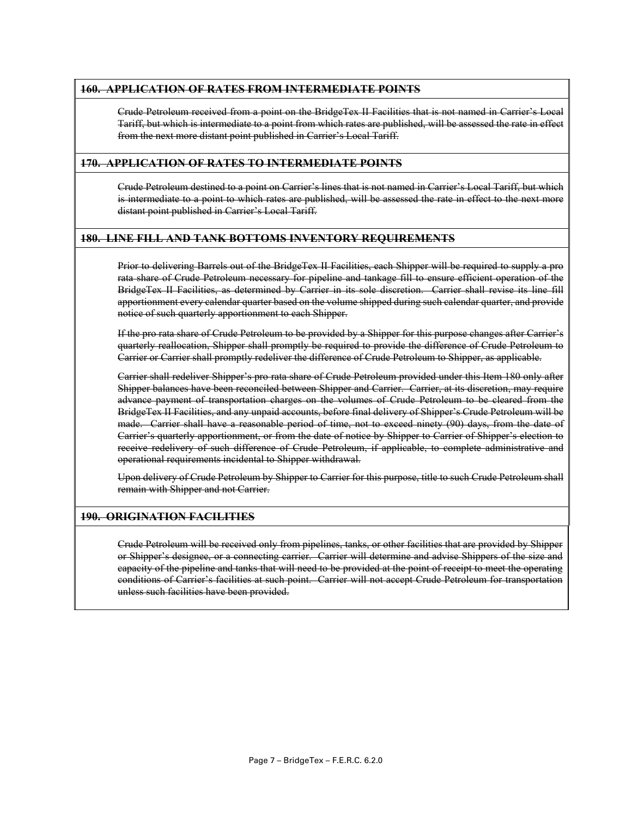#### **160. APPLICATION OF RATES FROM INTERMEDIATE POINTS**

Crude Petroleum received from a point on the BridgeTex II Facilities that is not named in Carrier's Local Tariff, but which is intermediate to a point from which rates are published, will be assessed the rate in effect from the next more distant point published in Carrier's Local Tariff.

#### **170. APPLICATION OF RATES TO INTERMEDIATE POINTS**

Crude Petroleum destined to a point on Carrier's lines that is not named in Carrier's Local Tariff, but which is intermediate to a point to which rates are published, will be assessed the rate in effect to the next more distant point published in Carrier's Local Tariff.

#### **180. LINE FILL AND TANK BOTTOMS INVENTORY REQUIREMENTS**

Prior to delivering Barrels out of the BridgeTex II Facilities, each Shipper will be required to supply a pro rata share of Crude Petroleum necessary for pipeline and tankage fill to ensure efficient operation of the BridgeTex II Facilities, as determined by Carrier in its sole discretion. Carrier shall revise its line fill apportionment every calendar quarter based on the volume shipped during such calendar quarter, and provide notice of such quarterly apportionment to each Shipper.

If the pro rata share of Crude Petroleum to be provided by a Shipper for this purpose changes after Carrier's quarterly reallocation, Shipper shall promptly be required to provide the difference of Crude Petroleum to Carrier or Carrier shall promptly redeliver the difference of Crude Petroleum to Shipper, as applicable.

Carrier shall redeliver Shipper's pro rata share of Crude Petroleum provided under this Item 180 only after Shipper balances have been reconciled between Shipper and Carrier. Carrier, at its discretion, may require advance payment of transportation charges on the volumes of Crude Petroleum to be cleared from the BridgeTex II Facilities, and any unpaid accounts, before final delivery of Shipper's Crude Petroleum will be made. Carrier shall have a reasonable period of time, not to exceed ninety (90) days, from the date of Carrier's quarterly apportionment, or from the date of notice by Shipper to Carrier of Shipper's election to receive redelivery of such difference of Crude Petroleum, if applicable, to complete administrative and operational requirements incidental to Shipper withdrawal.

Upon delivery of Crude Petroleum by Shipper to Carrier for this purpose, title to such Crude Petroleum shall remain with Shipper and not Carrier.

#### **190. ORIGINATION FACILITIES**

Crude Petroleum will be received only from pipelines, tanks, or other facilities that are provided by Shipper or Shipper's designee, or a connecting carrier. Carrier will determine and advise Shippers of the size and capacity of the pipeline and tanks that will need to be provided at the point of receipt to meet the operating conditions of Carrier's facilities at such point. Carrier will not accept Crude Petroleum for transportation unless such facilities have been provided.